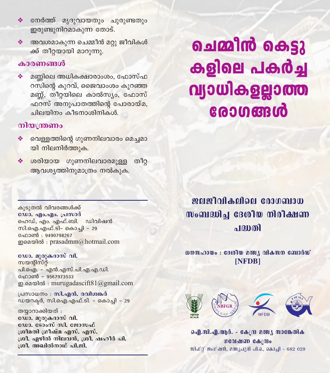- ◆ നേർത്ത് മൃദുവായതും ചുരുണ്ടതും ഇരുണ്ടുനിറമാകുന്ന തോട്.
- അവശമാകുന്ന ചെമ്മീൻ മറു ജീവികൾ  $\mathbf{A}$ ക്ക് തീറ്റയായി മാറുന്നു.

### കാരണങ്ങൾ

മണ്ണിലെ അധികക്ഷാരാംശം, ഫോസ്ഫ ❖ റസിന്റെ കുറവ്, ജൈവാംശം കുറഞ്ഞ മണ്ണ്, തീറ്റയിലെ കാൽസ്യം, ഫോസ് ഫറസ് അനുപാതത്തിന്റെ പോരായ്മ, ചിലയിനം കീടനാശിനികൾ.

### നിയന്ത്രണം

- വെള്ളത്തിന്റെ ഗുണനിലവാരം മെച്ചമാ യി നിലനിർത്തുക.
- ശരിയായ ഗുണനിലവാരമുള്ള തീറ്റ 参 ആവശ്യത്തിനുമാത്രം നൽകുക.

ചെമ്മിൻ കെട്ടു கதிவை പകർച്ച വ്യാധികളല്ലാത്ത **േഗങ്ങൾ** 

ഇവജീവികലിലെ മോഗബാധ  $\boldsymbol{\mathsf{N}}$   $\boldsymbol{\delta}$  and  $\boldsymbol{\mathsf{S}}$  and  $\boldsymbol{\delta}$  and  $\boldsymbol{\delta}$  and  $\boldsymbol{\delta}$  and  $\boldsymbol{\delta}$  and  $\boldsymbol{\delta}$  and  $\boldsymbol{\delta}$  and  $\boldsymbol{\delta}$  and  $\boldsymbol{\delta}$  and  $\boldsymbol{\delta}$  and  $\boldsymbol{\delta}$  and  $\boldsymbol{\delta}$  and  $\boldsymbol{\delta}$  and  $\boldsymbol{\delta}$  and  $\boldsymbol{\delta}$  an പദ്വതി

 $\omega$ നസഹായം : ദേശീയ മത്സ്യ വികസന ബോർഡ് [NFDB]



ഐ.സി.എ.ആർ. - കേന്ദ്ര മത്സ്യ സാങ്കേതിക **OCOLMED CA/Bo** സിഫ്റ്റ് ജംഗ്ഷൻ, മത്സൃപുരി പി.ഒ., കൊച്ചി - 682 029

കൂടുതൽ വിവരങ്ങൾക്ക് ഡോ. ഹം.ഹം. പ്രസാദ് ഹെഡ്, എം. എഫ്.ബി. ഡിവിഷൻ സി.ഐ.എഫ്.ടി- കൊചി - 29 േറാൺ : 9490798267  $\infty$ <br> $\infty$ 

ഡോ. മുരുകദാസ് വി.

സയന്റിസ്റ്റ് പി.ഐ. - എൻ.എസ്.പി.എ.എ.ഡി. ഫോൺ – 9567973533 ഇ.മെയിൽ : murugadascift $81$ @gmail.com

പ്രസാധനം : സി.എൻ. രവിശങ്കർ ഡയറക്ടർ, സി.ഐ.എഫ്.ടി. - കൊച്ചി - 29

തയ്യാറാക്കിയത് : ഡോ. മുരുകദാസ് വി. ഡോ. ടോംസ് സി. ജോസഫ് ശ്രീമതി ഗ്രീഷ്മ എസ്. എസ്. ശ്രീ. ഏഴിൽ നിലവൻ, ശ്രീ. ഷഹീർ പി. ശ്രീ, അഖിൽനാഥ് പി.ജി.